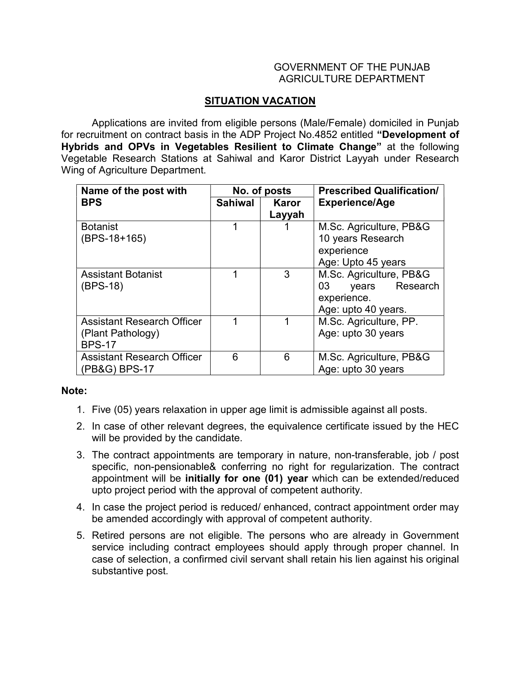## GOVERNMENT OF THE PUNJAB AGRICULTURE DEPARTMENT

## SITUATION VACATION

 Applications are invited from eligible persons (Male/Female) domiciled in Punjab for recruitment on contract basis in the ADP Project No.4852 entitled "Development of Hybrids and OPVs in Vegetables Resilient to Climate Change" at the following Vegetable Research Stations at Sahiwal and Karor District Layyah under Research Wing of Agriculture Department.

| Name of the post with             | No. of posts |              | <b>Prescribed Qualification/</b> |
|-----------------------------------|--------------|--------------|----------------------------------|
| <b>BPS</b>                        | Sahiwal      | <b>Karor</b> | <b>Experience/Age</b>            |
|                                   |              | Layyah       |                                  |
| <b>Botanist</b>                   | 1            |              | M.Sc. Agriculture, PB&G          |
| $(BPS-18+165)$                    |              |              | 10 years Research                |
|                                   |              |              | experience                       |
|                                   |              |              | Age: Upto 45 years               |
| <b>Assistant Botanist</b>         | 1            | 3            | M.Sc. Agriculture, PB&G          |
| $(BPS-18)$                        |              |              | years Research<br>03             |
|                                   |              |              | experience.                      |
|                                   |              |              | Age: upto 40 years.              |
| <b>Assistant Research Officer</b> |              |              | M.Sc. Agriculture, PP.           |
| (Plant Pathology)                 |              |              | Age: upto 30 years               |
| <b>BPS-17</b>                     |              |              |                                  |
| <b>Assistant Research Officer</b> | 6            | 6            | M.Sc. Agriculture, PB&G          |
| (PB&G) BPS-17                     |              |              | Age: upto 30 years               |

## Note:

- 1. Five (05) years relaxation in upper age limit is admissible against all posts.
- 2. In case of other relevant degrees, the equivalence certificate issued by the HEC will be provided by the candidate.
- 3. The contract appointments are temporary in nature, non-transferable, job / post specific, non-pensionable& conferring no right for regularization. The contract appointment will be initially for one (01) year which can be extended/reduced upto project period with the approval of competent authority.
- 4. In case the project period is reduced/ enhanced, contract appointment order may be amended accordingly with approval of competent authority.
- 5. Retired persons are not eligible. The persons who are already in Government service including contract employees should apply through proper channel. In case of selection, a confirmed civil servant shall retain his lien against his original substantive post.